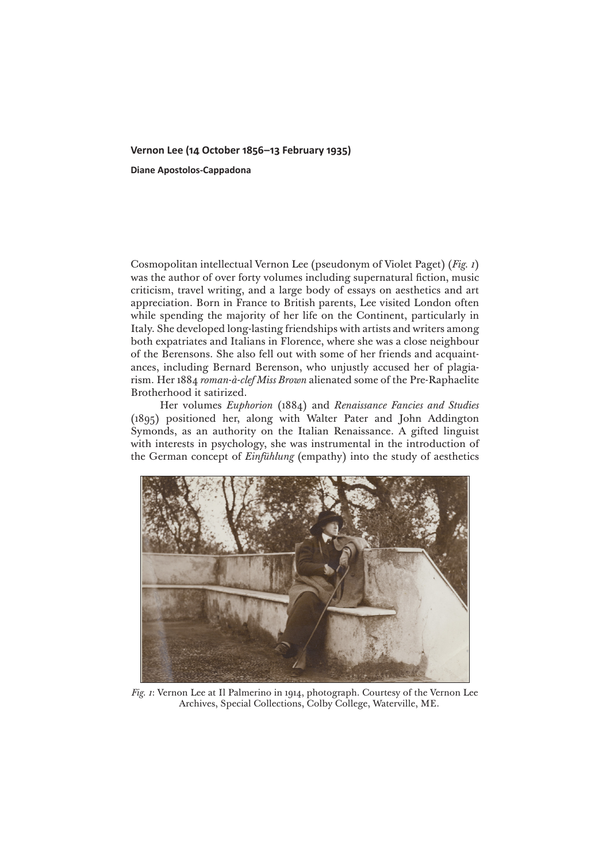## **Vernon Lee (14 October 1856–13 February 1935)**

**Diane Apostolos-Cappadona**

Cosmopolitan intellectual Vernon Lee (pseudonym of Violet Paget) (*Fig. 1*) was the author of over forty volumes including supernatural fiction, music criticism, travel writing, and a large body of essays on aesthetics and art appreciation. Born in France to British parents, Lee visited London often while spending the majority of her life on the Continent, particularly in Italy. She developed long-lasting friendships with artists and writers among both expatriates and Italians in Florence, where she was a close neighbour of the Berensons. She also fell out with some of her friends and acquaintances, including Bernard Berenson, who unjustly accused her of plagiarism. Her 1884 *roman-à-clef Miss Brown* alienated some of the Pre-Raphaelite Brotherhood it satirized.

Her volumes *Euphorion* (1884) and *Renaissance Fancies and Studies* (1895) positioned her, along with Walter Pater and John Addington Symonds, as an authority on the Italian Renaissance. A gifted linguist with interests in psychology, she was instrumental in the introduction of the German concept of *Einfühlung* (empathy) into the study of aesthetics



*Fig. 1*: Vernon Lee at Il Palmerino in 1914, photograph. Courtesy of the Vernon Lee Archives, Special Collections, Colby College, Waterville, ME.